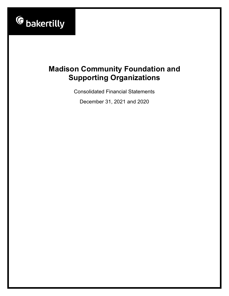

Consolidated Financial Statements

December 31, 2021 and 2020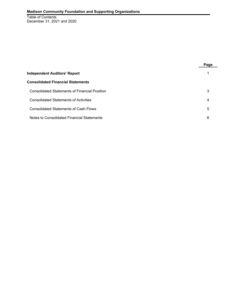Table of Contents December 31, 2021 and 2020

|                                                      | Page |
|------------------------------------------------------|------|
| <b>Independent Auditors' Report</b>                  |      |
| <b>Consolidated Financial Statements</b>             |      |
| <b>Consolidated Statements of Financial Position</b> | 3    |
| <b>Consolidated Statements of Activities</b>         | 4    |
| <b>Consolidated Statements of Cash Flows</b>         | 5    |
| Notes to Consolidated Financial Statements           | 6    |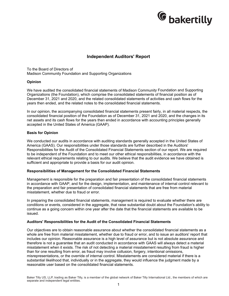

# **Independent Auditors' Report**

To the Board of Directors of Madison Community Foundation and Supporting Organizations

#### **Opinion**

We have audited the consolidated financial statements of Madison Community Foundation and Supporting Organizations (the Foundation), which comprise the consolidated statements of financial position as of December 31, 2021 and 2020, and the related consolidated statements of activities and cash flows for the years then ended, and the related notes to the consolidated financial statements.

In our opinion, the accompanying consolidated financial statements present fairly, in all material respects, the consolidated financial position of the Foundation as of December 31, 2021 and 2020, and the changes in its net assets and its cash flows for the years then ended in accordance with accounting principles generally accepted in the United States of America (GAAP).

#### **Basis for Opinion**

We conducted our audits in accordance with auditing standards generally accepted in the United States of America (GAAS). Our responsibilities under those standards are further described in the Auditors' Responsibilities for the Audit of the Consolidated Financial Statements section of our report. We are required to be independent of the Foundation and to meet our other ethical responsibilities, in accordance with the relevant ethical requirements relating to our audits. We believe that the audit evidence we have obtained is sufficient and appropriate to provide a basis for our audit opinion.

#### **Responsibilities of Management for the Consolidated Financial Statements**

Management is responsible for the preparation and fair presentation of the consolidated financial statements in accordance with GAAP, and for the design, implementation, and maintenance of internal control relevant to the preparation and fair presentation of consolidated financial statements that are free from material misstatement, whether due to fraud or error.

In preparing the consolidated financial statements, management is required to evaluate whether there are conditions or events, considered in the aggregate, that raise substantial doubt about the Foundation's ability to continue as a going concern within one year after the date that the financial statements are available to be issued.

#### **Auditors' Responsibilities for the Audit of the Consolidated Financial Statements**

Our objectives are to obtain reasonable assurance about whether the consolidated financial statements as a whole are free from material misstatement, whether due to fraud or error, and to issue an auditors' report that includes our opinion. Reasonable assurance is a high level of assurance but is not absolute assurance and therefore is not a guarantee that an audit conducted in accordance with GAAS will always detect a material misstatement when it exists. The risk of not detecting a material misstatement resulting from fraud is higher than for one resulting from error, as fraud may involve collusion, forgery, intentional omissions, misrepresentations, or the override of internal control. Misstatements are considered material if there is a substantial likelihood that, individually or in the aggregate, they would influence the judgment made by a reasonable user based on the consolidated financial statements.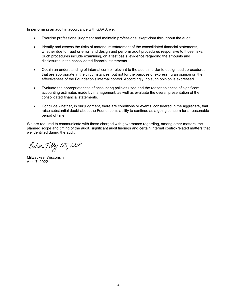In performing an audit in accordance with GAAS, we:

- Exercise professional judgment and maintain professional skepticism throughout the audit.
- Identify and assess the risks of material misstatement of the consolidated financial statements, whether due to fraud or error, and design and perform audit procedures responsive to those risks. Such procedures include examining, on a test basis, evidence regarding the amounts and disclosures in the consolidated financial statements.
- Obtain an understanding of internal control relevant to the audit in order to design audit procedures that are appropriate in the circumstances, but not for the purpose of expressing an opinion on the effectiveness of the Foundation's internal control. Accordingly, no such opinion is expressed.
- Evaluate the appropriateness of accounting policies used and the reasonableness of significant accounting estimates made by management, as well as evaluate the overall presentation of the consolidated financial statements.
- Conclude whether, in our judgment, there are conditions or events, considered in the aggregate, that raise substantial doubt about the Foundation's ability to continue as a going concern for a reasonable period of time.

We are required to communicate with those charged with governance regarding, among other matters, the planned scope and timing of the audit, significant audit findings and certain internal control-related matters that we identified during the audit.

Baker Tilly US, LLP

Milwaukee, Wisconsin April 7, 2022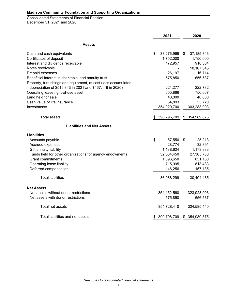Consolidated Statements of Financial Position December 31, 2021 and 2020

|                                                                | 2021                       |    | 2020         |
|----------------------------------------------------------------|----------------------------|----|--------------|
| <b>Assets</b>                                                  |                            |    |              |
| Cash and cash equivalents                                      | \$<br>33,276,969           | S  | 37, 185, 343 |
| Certificates of deposit                                        | 1,752,000                  |    | 1,750,000    |
| Interest and dividends receivable                              | 172,957                    |    | 918,364      |
| Notes receivable                                               |                            |    | 10,107,345   |
| Prepaid expenses                                               | 26,197                     |    | 16,714       |
| Beneficial interest in charitable lead annuity trust           | 575,850                    |    | 656,537      |
| Property, furnishings and equipment, at cost (less accumulated |                            |    |              |
| depreciation of \$519,843 in 2021 and \$467,116 in 2020)       | 221,277                    |    | 222,782      |
| Operating lease right-of-use asset                             | 655,866                    |    | 756,067      |
| Land held for sale                                             | 40,000                     |    | 40,000       |
| Cash value of life insurance                                   | 54,893                     |    | 53,720       |
| Investments                                                    | 354,020,700                |    | 303,283,003  |
| <b>Total assets</b>                                            | 390,796,709 \$ 354,989,875 |    |              |
| <b>Liabilities and Net Assets</b>                              |                            |    |              |
| Liabilities                                                    |                            |    |              |
| Accounts payable                                               | \$<br>57,550               | \$ | 25,213       |
| Accrued expenses                                               | 28,774                     |    | 32,891       |
| Gift annuity liability                                         | 1,138,624                  |    | 1,178,833    |
| Funds held for other organizations for agency endowments       | 32,584,450                 |    | 27,365,730   |
| <b>Grant commitments</b>                                       | 1,396,650                  |    | 831,150      |
| Operating lease liability                                      | 715,995                    |    | 813,483      |
| Deferred compensation                                          | 146,256                    |    | 157,135      |
| <b>Total liabilities</b>                                       | 36,068,299                 |    | 30,404,435   |
| <b>Net Assets</b>                                              |                            |    |              |
| Net assets without donor restrictions                          | 354, 152, 560              |    | 323,928,903  |
| Net assets with donor restrictions                             | 575,850                    |    | 656,537      |
| Total net assets                                               | 354,728,410                |    | 324,585,440  |
| Total liabilities and net assets                               | 390,796,709                | S. | 354,989,875  |
|                                                                |                            |    |              |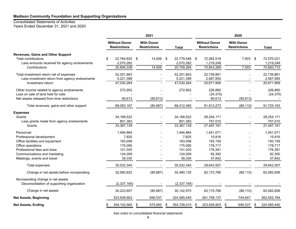#### Consolidated Statements of Activities

Years Ended December 31, 2021 and 2020

|                                               | 2021                                        |                                          |  |               |  | 2020                                        |    |                                          |      |              |  |
|-----------------------------------------------|---------------------------------------------|------------------------------------------|--|---------------|--|---------------------------------------------|----|------------------------------------------|------|--------------|--|
|                                               | <b>Without Donor</b><br><b>Restrictions</b> | <b>With Donor</b><br><b>Restrictions</b> |  | <b>Total</b>  |  | <b>Without Donor</b><br><b>Restrictions</b> |    | <b>With Donor</b><br><b>Restrictions</b> |      | <b>Total</b> |  |
| <b>Revenues, Gains and Other Support</b>      |                                             |                                          |  |               |  |                                             |    |                                          |      |              |  |
| <b>Total contributions</b><br>\$              | 22,764,620 \$                               | 14,926 \$                                |  | 22,779,546 \$ |  | 72,062,518                                  |    | 7,503                                    | \$   | 72,070,021   |  |
| Less amounts received for agency endowments   | 2,070,282                                   |                                          |  | 2,070,282     |  | 1,219,249                                   |    |                                          |      | 1,219,249    |  |
| Contributions                                 | 20,694,338                                  | 14,926                                   |  | 20,709,264    |  | 70,843,269                                  |    | 7,503                                    |      | 70,850,772   |  |
| Total investment return net of expenses       | 52,251,663                                  |                                          |  | 52,251,663    |  | 22,739,861                                  |    |                                          |      | 22,739,861   |  |
| Less investment return from agency endowments | 5,221,399                                   |                                          |  | 5,221,399     |  | 2,067,955                                   |    |                                          |      | 2,067,955    |  |
| Investment return                             | 47,030,264                                  |                                          |  | 47,030,264    |  | 20,671,906                                  |    |                                          |      | 20,671,906   |  |
| Other income related to agency endowments     | 272,952                                     |                                          |  | 272,952       |  | 226,860                                     |    |                                          |      | 226,860      |  |
| Loss on sale of land held for sale            |                                             |                                          |  |               |  | (24, 375)                                   |    |                                          |      | (24, 375)    |  |
| Net assets released from time restrictions    | 95,613                                      | (95, 613)                                |  |               |  | 95,613                                      |    | (95, 613)                                |      |              |  |
| Total revenues, gains and other support       | 68,093,167                                  | (80, 687)                                |  | 68,012,480    |  | 91,813,273                                  |    | (88, 110)                                |      | 91,725,163   |  |
| <b>Expenses</b>                               |                                             |                                          |  |               |  |                                             |    |                                          |      |              |  |
| Grants                                        | 34,168,522                                  |                                          |  | 34,168,522    |  | 28,254,171                                  |    |                                          |      | 28,254,171   |  |
| Less grants made from agency endowments       | 801,383                                     |                                          |  | 801,383       |  | 757,010                                     |    |                                          |      | 757,010      |  |
| Grants                                        | 33,367,139                                  |                                          |  | 33,367,139    |  | 27,497,161                                  |    |                                          |      | 27,497,161   |  |
| Personnel                                     | 1,494,864                                   |                                          |  | 1,494,864     |  | 1,451,071                                   |    |                                          |      | 1,451,071    |  |
| Professional development                      | 7,825                                       |                                          |  | 7,825         |  | 15,816                                      |    |                                          |      | 15,816       |  |
| Office facilities and equipment               | 183,058                                     |                                          |  | 183,058       |  | 193,159                                     |    |                                          |      | 193,159      |  |
| Office operations                             | 175,095                                     |                                          |  | 175,095       |  | 178,717                                     |    |                                          |      | 178,717      |  |
| Professional fees and dues                    | 141,025                                     |                                          |  | 141,025       |  | 176,391                                     |    |                                          |      | 176,391      |  |
| Communications and marketing                  | 124,009                                     |                                          |  | 124,009       |  | 92,350                                      |    |                                          |      | 92,350       |  |
| Meetings, events and travel                   | 39,330                                      |                                          |  | 39,330        |  | 37,842                                      |    |                                          |      | 37,842       |  |
| Total expenses                                | 35,532,345                                  |                                          |  | 35,532,345    |  | 29,642,507                                  |    |                                          |      | 29,642,507   |  |
| Change in net assets before nonoperating      | 32,560,822                                  | (80, 687)                                |  | 32,480,135    |  | 62,170,766                                  |    | (88, 110)                                |      | 62,082,656   |  |
| Nonoperating change in net assets             |                                             |                                          |  |               |  |                                             |    |                                          |      |              |  |
| Deconsolidation of supporting organization    | (2,337,165)                                 |                                          |  | (2, 337, 165) |  |                                             |    |                                          |      |              |  |
| Change in net assets                          | 30,223,657                                  | (80, 687)                                |  | 30,142,970    |  | 62,170,766                                  |    | (88, 110)                                |      | 62,082,656   |  |
| <b>Net Assets, Beginning</b>                  | 323,928,903                                 | 656,537                                  |  | 324,585,440   |  | 261,758,137                                 |    | 744,647                                  |      | 262,502,784  |  |
| <b>Net Assets, Ending</b>                     | 354,152,560                                 | 575,850<br>\$                            |  | 354,728,410   |  | 323,928,903                                 | \$ | 656,537                                  | - \$ | 324,585,440  |  |

*See notes to consolidated financial statements*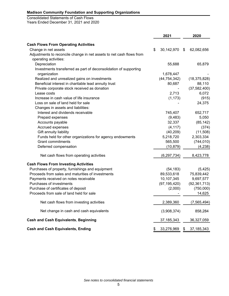Consolidated Statements of Cash Flows Years Ended December 31, 2021 and 2020

|                                                                      | 2021             |      | 2020           |
|----------------------------------------------------------------------|------------------|------|----------------|
| <b>Cash Flows From Operating Activities</b>                          |                  |      |                |
| Change in net assets                                                 | \$<br>30,142,970 | - \$ | 62,082,656     |
| Adjustments to reconcile change in net assets to net cash flows from |                  |      |                |
| operating activities:                                                |                  |      |                |
| Depreciation                                                         | 55,688           |      | 65,879         |
| Investments transferred as part of deconsolidation of supporting     |                  |      |                |
| organization                                                         | 1,678,447        |      |                |
| Realized and unrealized gains on investments                         | (44, 754, 342)   |      | (18, 375, 828) |
| Beneficial interest in charitable lead annuity trust                 | 80,687           |      | 88,110         |
| Private corporate stock received as donation                         |                  |      | (37, 582, 400) |
| Lease costs                                                          | 2,713            |      | 6,072          |
| Increase in cash value of life insurance                             | (1, 173)         |      | (915)          |
| Loss on sale of land held for sale                                   |                  |      | 24,375         |
| Changes in assets and liabilities:                                   |                  |      |                |
| Interest and dividends receivable                                    | 745,407          |      | 652,717        |
| Prepaid expenses                                                     | (9, 483)         |      | 5,050          |
| Accounts payable                                                     | 32,337           |      | (85, 142)      |
| Accrued expenses                                                     | (4, 117)         |      | (374)          |
| Gift annuity liability                                               | (40, 209)        |      | (11,508)       |
| Funds held for other organizations for agency endowments             | 5,218,720        |      | 2,303,334      |
| <b>Grant commitments</b>                                             | 565,500          |      | (744, 010)     |
| Deferred compensation                                                | (10, 879)        |      | (4, 238)       |
| Net cash flows from operating activities                             | (6, 297, 734)    |      | 8,423,778      |
| <b>Cash Flows From Investing Activities</b>                          |                  |      |                |
| Purchases of property, furnishings and equipment                     | (54, 183)        |      | (5, 425)       |
| Proceeds from sales and maturities of investments                    | 89,533,618       |      | 75,839,442     |
| Payments received on notes receivable                                | 10,107,345       |      | 9,697,577      |
| Purchases of investments                                             | (97, 195, 420)   |      | (92, 361, 713) |
| Purchase of certificates of deposit                                  | (2,000)          |      | (750,000)      |
| Proceeds from sale of land held for sale                             |                  |      | 14,625         |
| Net cash flows from investing activities                             | 2,389,360        |      | (7, 565, 494)  |
| Net change in cash and cash equivalents                              | (3,908,374)      |      | 858,284        |
| <b>Cash and Cash Equivalents, Beginning</b>                          | 37, 185, 343     |      | 36,327,059     |
| <b>Cash and Cash Equivalents, Ending</b>                             | \$<br>33,276,969 | \$   | 37, 185, 343   |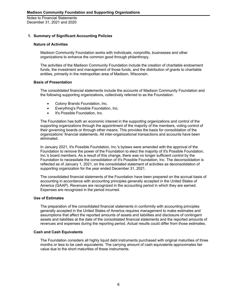# **1. Summary of Significant Accounting Policies**

## **Nature of Activities**

Madison Community Foundation works with individuals, nonprofits, businesses and other organizations to enhance the common good through philanthropy.

The activities of the Madison Community Foundation include the creation of charitable endowment funds, the investment and management of those funds, and the distribution of grants to charitable entities, primarily in the metropolitan area of Madison, Wisconsin.

## **Basis of Presentation**

The consolidated financial statements include the accounts of Madison Community Foundation and the following supporting organizations, collectively referred to as the Foundation:

- Colony Brands Foundation, Inc.
- Everything's Possible Foundation, Inc.
- It's Possible Foundation, Inc.

The Foundation has both an economic interest in the supporting organizations and control of the supporting organizations through the appointment of the majority of the members, voting control of their governing boards or through other means. This provides the basis for consolidation of the organizations' financial statements. All inter-organizational transactions and accounts have been eliminated.

In January 2021, It's Possible Foundation, Inc.'s bylaws were amended with the approval of the Foundation to remove the power of the Foundation to elect the majority of It's Possible Foundation, Inc.'s board members. As a result of this change, there was no longer sufficient control by the Foundation to necessitate the consolidation of It's Possible Foundation, Inc. The deconsolidation is reflected as of January 1, 2021, on the consolidated statement of activities as deconsolidation of supporting organization for the year ended December 31, 2021.

The consolidated financial statements of the Foundation have been prepared on the accrual basis of accounting in accordance with accounting principles generally accepted in the United States of America (GAAP). Revenues are recognized in the accounting period in which they are earned. Expenses are recognized in the period incurred.

#### **Use of Estimates**

The preparation of the consolidated financial statements in conformity with accounting principles generally accepted in the United States of America requires management to make estimates and assumptions that affect the reported amounts of assets and liabilities and disclosure of contingent assets and liabilities at the date of the consolidated financial statements and the reported amounts of revenues and expenses during the reporting period. Actual results could differ from those estimates.

#### **Cash and Cash Equivalents**

The Foundation considers all highly liquid debt instruments purchased with original maturities of three months or less to be cash equivalents. The carrying amount of cash equivalents approximates fair value due to the short maturities of these instruments.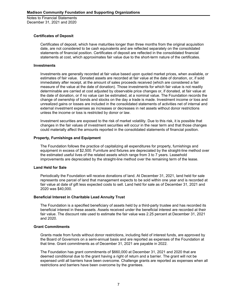# **Certificates of Deposit**

Certificates of deposit, which have maturities longer than three months from the original acquisition date, are not considered to be cash equivalents and are reflected separately on the consolidated statements of financial position. Certificates of deposit are reflected in the consolidated financial statements at cost, which approximates fair value due to the short-term nature of the certificates.

## **Investments**

Investments are generally recorded at fair value based upon quoted market prices, when available, or estimates of fair value. Donated assets are recorded at fair value at the date of donation, or, if sold immediately after receipt, at the amount of sales proceeds received (which are considered a fair measure of the value at the date of donation). Those investments for which fair value is not readily determinable are carried at cost adjusted by observable price changes or, if donated, at fair value at the date of donation, or if no value can be estimated, at a nominal value. The Foundation records the change of ownership of bonds and stocks on the day a trade is made. Investment income or loss and unrealized gains or losses are included in the consolidated statements of activities net of internal and external investment expenses as increases or decreases in net assets without donor restrictions unless the income or loss is restricted by donor or law.

Investment securities are exposed to the risk of market volatility. Due to this risk, it is possible that changes in the fair values of investment securities will occur in the near term and that those changes could materially affect the amounts reported in the consolidated statements of financial position.

# **Property, Furnishings and Equipment**

The Foundation follows the practice of capitalizing all expenditures for property, furnishings and equipment in excess of \$2,500. Furniture and fixtures are depreciated by the straight-line method over the estimated useful lives of the related assets which range from 3 to 7 years. Leasehold improvements are depreciated by the straight-line method over the remaining term of the lease.

# **Land Held for Sale**

Periodically the Foundation will receive donations of land. At December 31, 2021, land held for sale represents one parcel of land that management expects to be sold within one year and is recorded at fair value at date of gift less expected costs to sell. Land held for sale as of December 31, 2021 and 2020 was \$40,000.

# **Beneficial Interest in Charitable Lead Annuity Trust**

The Foundation is a specified beneficiary of assets held by a third-party trustee and has recorded its beneficial interest in these assets. Assets received under the beneficial interest are recorded at their fair value. The discount rate used to estimate the fair value was 2.25 percent at December 31, 2021 and 2020.

#### **Grant Commitments**

Grants made from funds without donor restrictions, including field of interest funds, are approved by the Board of Governors on a semi-annual basis and are reported as expenses of the Foundation at that time. Grant commitments as of December 31, 2021 are payable in 2022.

The Foundation has grant commitments of \$660,000 at December 31, 2021 and 2020 that are deemed conditional due to the grant having a right of return and a barrier. The grant will not be expensed until all barriers have been overcome. Challenge grants are reported as expenses when all restrictions and barriers have been overcome by the grantees.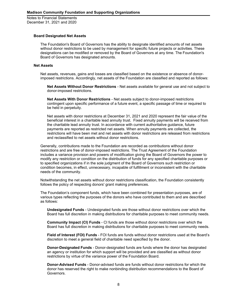#### **Board Designated Net Assets**

The Foundation's Board of Governors has the ability to designate identified amounts of net assets without donor restrictions to be used by management for specific future projects or activities. These designations can be modified or removed by the Board of Governors at any time. The Foundation's Board of Governors has designated amounts.

#### **Net Assets**

Net assets, revenues, gains and losses are classified based on the existence or absence of donorimposed restrictions. Accordingly, net assets of the Foundation are classified and reported as follows:

**Net Assets Without Donor Restrictions** - Net assets available for general use and not subject to donor-imposed restrictions.

**Net Assets With Donor Restrictions** - Net assets subject to donor-imposed restrictions contingent upon specific performance of a future event, a specific passage of time or required to be held in perpetuity.

Net assets with donor restrictions at December 31, 2021 and 2020 represent the fair value of the beneficial interest in a charitable lead annuity trust. Fixed annuity payments will be received from the charitable lead annuity trust. In accordance with current authoritative guidance, future payments are reported as restricted net assets. When annuity payments are collected, the restrictions will have been met and net assets with donor restrictions are released from restrictions and reclassified to net assets without donor restrictions.

Generally, contributions made to the Foundation are recorded as contributions without donor restrictions and are free of donor-imposed restrictions. The Trust Agreement of the Foundation includes a variance provision and powers of modification giving the Board of Governors the power to modify any restriction or condition on the distribution of funds for any specified charitable purposes or to specified organizations if in the sole judgment of the Board of Governors such restriction or condition becomes, in effect, unnecessary, incapable of fulfillment or inconsistent with the charitable needs of the community.

Notwithstanding the net assets without donor restrictions classification, the Foundation consistently follows the policy of respecting donors' grant making preferences.

The Foundation's component funds, which have been combined for presentation purposes, are of various types reflecting the purposes of the donors who have contributed to them and are described as follows:

**Undesignated Funds** - Undesignated funds are those without donor restrictions over which the Board has full discretion in making distributions for charitable purposes to meet community needs.

**Community Impact (CI) Funds** - CI funds are those without donor restrictions over which the Board has full discretion in making distributions for charitable purposes to meet community needs.

**Field of Interest (FOI) Funds** - FOI funds are funds without donor restrictions used at the Board's discretion to meet a general field of charitable need specified by the donor.

**Donor-Designated Funds** - Donor-designated funds are funds where the donor has designated an agency or institution for which support will be provided and are classified as without donor restrictions by virtue of the variance power of the Foundation Board.

**Donor-Advised Funds** - Donor-advised funds are funds without donor restrictions for which the donor has reserved the right to make nonbinding distribution recommendations to the Board of Governors.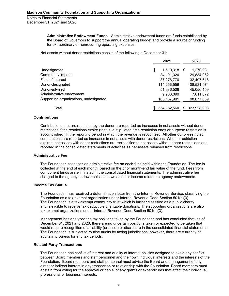> **Administrative Endowment Funds** - Administrative endowment funds are funds established by the Board of Governors to support the annual operating budget and provide a source of funding for extraordinary or nonrecurring operating expenses.

Net assets without donor restrictions consist of the following a December 31:

|                                        |     | 2021          |     | 2020        |
|----------------------------------------|-----|---------------|-----|-------------|
| Undesignated                           | \$  | 1,510,318     | \$  | 1,270,931   |
| Community impact                       |     | 34,101,320    |     | 29,834,062  |
| Field of interest                      |     | 37,276,770    |     | 32,497,616  |
| Donor-designated                       |     | 114,256,556   |     | 108,581,974 |
| Donor-advised                          |     | 51,936,506    |     | 45,056,159  |
| Administrative endowment               |     | 9,903,099     |     | 7,811,072   |
| Supporting organizations, undesignated |     | 105, 167, 991 |     | 98,877,089  |
| Total                                  | \$. | 354,152,560   | \$. | 323,928,903 |

## **Contributions**

Contributions that are restricted by the donor are reported as increases in net assets without donor restrictions if the restrictions expire (that is, a stipulated time restriction ends or purpose restriction is accomplished) in the reporting period in which the revenue is recognized. All other donor-restricted contributions are reported as increases in net assets with donor restrictions. When a restriction expires, net assets with donor restrictions are reclassified to net assets without donor restrictions and reported in the consolidated statements of activities as net assets released from restrictions.

#### **Administrative Fee**

The Foundation assesses an administrative fee on each fund held within the Foundation. The fee is collected at the end of each month, based on the prior month-end fair value of the fund. Fees from component funds are eliminated in the consolidated financial statements. The administrative fee charged to the agency endowments is shown as other income related to agency endowments.

# **Income Tax Status**

The Foundation has received a determination letter from the Internal Revenue Service, classifying the Foundation as a tax-exempt organization under Internal Revenue Code Section 501(c)(3). The Foundation is a tax-exempt community trust which is further classified as a public charity and is eligible to receive tax deductible charitable donations. The supporting organizations are also tax-exempt organizations under Internal Revenue Code Section 501(c)(3).

Management has analyzed the tax positions taken by the Foundation and has concluded that, as of December 31, 2021 and 2020, there are no uncertain positions taken or expected to be taken that would require recognition of a liability (or asset) or disclosure in the consolidated financial statements. The Foundation is subject to routine audits by taxing jurisdictions; however, there are currently no audits in progress for any tax periods.

#### **Related-Party Transactions**

The Foundation has conflict of interest and duality of interest policies designed to avoid any conflict between Board members and staff personnel and their own individual interests and the interests of the Foundation. Board members and staff personnel must advise the Board and management of any direct or indirect interest in any transaction or relationship with the Foundation. Board members must abstain from voting for the approval or denial of any grants or expenditures that affect their individual, professional or business interests.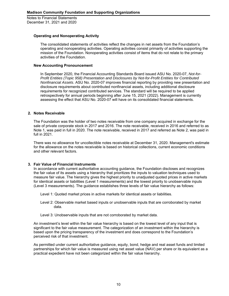# **Operating and Nonoperating Activity**

The consolidated statements of activities reflect the changes in net assets from the Foundation's operating and nonoperating activities. Operating activities consist primarily of activities supporting the mission of the Foundation. Nonoperating activities consist of items that do not relate to the primary activities of the Foundation.

#### **New Accounting Pronouncement**

In September 2020, the Financial Accounting Standards Board issued ASU No. 2020-07, *Not-for-Profit Entities (Topic 958) Presentation and Disclosures by Not-for-Profit Entities for Contributed Nonfinancial Assets*. ASU No. 2020-07 improves financial reporting by providing new presentation and disclosure requirements about contributed nonfinancial assets, including additional disclosure requirements for recognized contributed services. The standard will be required to be applied retrospectively for annual periods beginning after June 15, 2021 (2022). Management is currently assessing the effect that ASU No. 2020-07 will have on its consolidated financial statements.

## **2. Notes Receivable**

The Foundation was the holder of two notes receivable from one company acquired in exchange for the sale of private corporate stock in 2017 and 2016. The note receivable, received in 2016 and referred to as Note 1, was paid in full in 2020. The note receivable, received in 2017 and referred as Note 2, was paid in full in 2021.

There was no allowance for uncollectible notes receivable at December 31, 2020. Management's estimate for the allowance on the notes receivable is based on historical collections, current economic conditions and other relevant factors.

# **3. Fair Value of Financial Instruments**

In accordance with current authoritative accounting guidance, the Foundation discloses and recognizes the fair value of its assets using a hierarchy that prioritizes the inputs to valuation techniques used to measure fair value. The hierarchy gives the highest priority to unadjusted quoted prices in active markets for identical assets or liabilities (Level 1 measurements) and the lowest priority to unobservable inputs (Level 3 measurements). The guidance establishes three levels of fair value hierarchy as follows:

Level 1: Quoted market prices in active markets for identical assets or liabilities.

- Level 2: Observable market based inputs or unobservable inputs that are corroborated by market data.
- Level 3: Unobservable inputs that are not corroborated by market data.

An investment's level within the fair value hierarchy is based on the lowest level of any input that is significant to the fair value measurement. The categorization of an investment within the hierarchy is based upon the pricing transparency of the investment and does correspond to the Foundation's perceived risk of that investment.

As permitted under current authoritative guidance, equity, bond, hedge and real asset funds and limited partnerships for which fair value is measured using net asset value (NAV) per share or its equivalent as a practical expedient have not been categorized within the fair value hierarchy.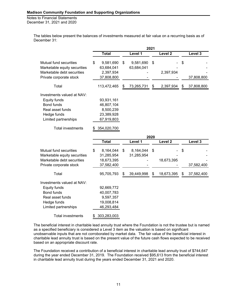Notes to Financial Statements December 31, 2021 and 2020

> The tables below present the balances of investments measured at fair value on a recurring basis as of December 31:

|                              | 2021 |              |    |            |      |                    |    |            |
|------------------------------|------|--------------|----|------------|------|--------------------|----|------------|
|                              |      | <b>Total</b> |    | Level 1    |      | Level <sub>2</sub> |    | Level 3    |
| Mutual fund securities       | \$   | 9,581,690    | \$ | 9,581,690  | \$   |                    | \$ |            |
| Marketable equity securities |      | 63,684,041   |    | 63,684,041 |      |                    |    |            |
| Marketable debt securities   |      | 2,397,934    |    |            |      | 2,397,934          |    |            |
| Private corporate stock      |      | 37,808,800   |    |            |      |                    |    | 37,808,800 |
| Total                        |      | 113,472,465  | S  | 73,265,731 | \$   | 2,397,934          | \$ | 37,808,800 |
| Investments valued at NAV:   |      |              |    |            |      |                    |    |            |
| Equity funds                 |      | 93,931,161   |    |            |      |                    |    |            |
| <b>Bond funds</b>            |      | 46,807,104   |    |            |      |                    |    |            |
| Real asset funds             |      | 8,500,239    |    |            |      |                    |    |            |
| Hedge funds                  |      | 23,389,928   |    |            |      |                    |    |            |
| Limited partnerships         |      | 67,919,803   |    |            |      |                    |    |            |
| <b>Total investments</b>     | \$   | 354,020,700  |    |            |      |                    |    |            |
|                              |      |              |    |            | 2020 |                    |    |            |
|                              |      | <b>Total</b> |    | Level 1    |      | Level <sub>2</sub> |    | Level 3    |
| Mutual fund securities       | \$   | 8,164,044    | \$ | 8,164,044  | \$   |                    | \$ |            |
| Marketable equity securities |      | 31,285,954   |    | 31,285,954 |      |                    |    |            |
| Marketable debt securities   |      | 18,673,395   |    |            |      | 18,673,395         |    |            |
| Private corporate stock      |      | 37,582,400   |    |            |      |                    |    | 37,582,400 |
| Total                        |      | 95,705,793   | \$ | 39,449,998 | \$   | 18,673,395         | S  | 37,582,400 |
| Investments valued at NAV:   |      |              |    |            |      |                    |    |            |
| <b>Equity funds</b>          |      | 92,669,772   |    |            |      |                    |    |            |
| <b>Bond funds</b>            |      | 40,007,783   |    |            |      |                    |    |            |
| Real asset funds             |      | 9,597,357    |    |            |      |                    |    |            |
| Hedge funds                  |      | 19,008,814   |    |            |      |                    |    |            |
| Limited partnerships         |      | 46,293,484   |    |            |      |                    |    |            |
| <b>Total investments</b>     | \$   | 303,283,003  |    |            |      |                    |    |            |

The beneficial interest in charitable lead annuity trust where the Foundation is not the trustee but is named as a specified beneficiary is considered a Level 3 item as the valuation is based on significant unobservable inputs that are not corroborated by market data. The fair value of the beneficial interest in charitable lead annuity trust is based on the present value of the future cash flows expected to be received based on an appropriate discount rate.

The Foundation received a contribution of a beneficial interest in charitable lead annuity trust of \$744,647 during the year ended December 31, 2019. The Foundation received \$95,613 from the beneficial interest in charitable lead annuity trust during the years ended December 31, 2021 and 2020.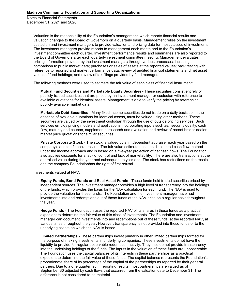> Valuation is the responsibility of the Foundation's management, which reports financial results and valuation changes to the Board of Governors on a quarterly basis. Management relies on the investment custodian and investment managers to provide valuation and pricing data for most classes of investments. The investment managers provide reports to management each month and to the Foundation's investment committee each quarter. Investment performance results and summaries are also reported to the Board of Governors after each quarterly investment committee meeting. Management evaluates pricing information provided by the investment managers through various processes: including comparison to public market data; purchases or sales of assets at the reported values; back testing with reference to reported and market performance data; review of audited financial statements and net asset values of fund holdings; and review of tax filings provided by fund managers.

The following methods were used to estimate the fair value of each class of financial instrument:

**Mutual Fund Securities and Marketable Equity Securities** - These securities consist entirely of publicly-traded securities that are priced by an investment manager or custodian with reference to available quotations for identical assets. Management is able to verify the pricing by referencing publicly available market data.

**Marketable Debt Securities** - Many fixed income securities do not trade on a daily basis so, in the absence of available quotations for identical assets, must be valued using other methods. These securities are valued by the investment custodian through the use of outside pricing services. Such services employ pricing models and applications incorporating inputs such as: security quality, cash flow, maturity and coupon, supplemental research and evaluation and review of recent broker-dealer market price quotations for similar securities.

**Private Corporate Stock** - The stock is valued by an independent appraiser each year based on the company's audited financial results. The fair value estimate uses the discounted cash flow method under the income approach and is based on a five-year projection of net cash flows. The Foundation also applies discounts for a lack of control and lack of marketability. There are also transactions at the appraised value during the year and subsequent to year-end. The stock has restrictions on the resale and the company Foundationhas the right of first refusal.

Investments valued at NAV:

**Equity Funds, Bond Funds and Real Asset Funds** - These funds hold traded securities priced by independent sources. The investment manager provides a high level of transparency into the holdings of the funds, which provides the basis for the NAV calculation for each fund. The NAV is used to provide the valuation for these funds. The Foundation and the investment manager have had investments into and redemptions out of these funds at the NAV price on a regular basis throughout the year.

**Hedge Funds** - The Foundation uses the reported NAV of its shares in these funds as a practical expedient to determine the fair value of this class of investments. The Foundation and investment manager can document investments into and redemptions out of these funds, at the reported NAV, at various times throughout the year. However, transparency is not provided into these funds or to the underlying assets on which the NAV is based.

**Limited Partnerships** - These partnerships invest primarily in other limited partnerships formed for the purpose of making investments in underlying companies. These investments do not have the liquidity to provide for regular observable redemption activity. They also do not provide transparency into the underlying holdings of the funds. The inputs in the valuation of these funds are unobservable. The Foundation uses the capital balances of its interests in these partnerships as a practical expedient to determine the fair value of these funds. The capital balance represents the Foundation's proportionate share of its percentage of the capital of the partnerships as reported by their general partners. Due to a one quarter lag in reporting results, most partnerships are valued as of September 30 adjusted by cash flows that occurred from the valuation date to December 31. The difference is not considered to be material.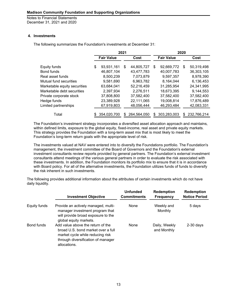# **4. Investments**

The following summarizes the Foundation's investments at December 31:

|                                                       | 2021 |                          |      |                          | 2020 |                          |    |                          |
|-------------------------------------------------------|------|--------------------------|------|--------------------------|------|--------------------------|----|--------------------------|
|                                                       |      | <b>Fair Value</b>        | Cost |                          |      | <b>Fair Value</b>        |    | Cost                     |
| Equity funds<br>Bond funds                            | \$   | 93,931,161<br>46,807,104 | S    | 44,805,727<br>43,477,783 | S    | 92,669,772<br>40,007,783 | S  | 50,319,498<br>36,303,105 |
| Real asset funds                                      |      | 8,500,239                |      | 7,073,879                |      | 9,597,357                |    | 8,978,390                |
| Mutual fund securities                                |      | 9,581,690                |      | 6,963,782                |      | 8,164,044                |    | 6,136,453                |
| Marketable equity securities                          |      | 63,684,041               |      | 52,216,459               |      | 31,285,954               |    | 24,341,995               |
| Marketable debt securities<br>Private corporate stock |      | 2,397,934<br>37,808,800  |      | 2,276,511<br>37,582,400  |      | 18,673,395<br>37,582,400 |    | 9,144,553<br>37,582,400  |
| Hedge funds                                           |      | 23,389,928               |      | 22,111,065               |      | 19,008,814               |    | 17,876,489               |
| Limited partnerships                                  |      | 67,919,803               |      | 48,056,444               |      | 46,293,484               |    | 42,083,331               |
| Total                                                 |      | 354,020,700              | S    | 264,564,050              | S    | 303,283,003              | \$ | 232,766,214              |

The Foundation's investment strategy incorporates a diversified asset allocation approach and maintains*,* within defined limits, exposure to the global equity, fixed-income, real asset and private equity markets. This strategy provides the Foundation with a long-term asset mix that is most likely to meet the Foundation's long-term return goals with the appropriate level of risk.

The investments valued at NAV were entered into to diversify the Foundations portfolio. The Foundation's management, the investment committee of the Board of Governors and the Foundation's external investment consultants review reports provided by general partners. The Foundation's external investment consultants attend meetings of the various general partners in order to evaluate the risk associated with these investments. In addition, the Foundation monitors its portfolio mix to ensure that it is in accordance with Board policy. For all of the alternative investments, the Foundation utilizes funds of funds to diversify the risk inherent in such investments.

The following provides additional information about the attributes of certain investments which do not have daily liquidity.

|              | <b>Investment Objective</b>                                                                                                                                       | <b>Unfunded</b><br><b>Commitments</b> | <b>Redemption</b><br><b>Frequency</b> | <b>Redemption</b><br><b>Notice Period</b> |
|--------------|-------------------------------------------------------------------------------------------------------------------------------------------------------------------|---------------------------------------|---------------------------------------|-------------------------------------------|
| Equity funds | Provide an actively managed, multi-<br>manager investment program that<br>will provide broad exposure to the<br>global equity markets.                            | None                                  | Weekly and<br>Monthly                 | 5 days                                    |
| Bond funds   | Add value above the return of the<br>broad U.S. bond market over a full<br>market cycle while reducing risk<br>through diversification of manager<br>allocations. | None                                  | Daily, Weekly<br>and Monthly          | $2-30$ days                               |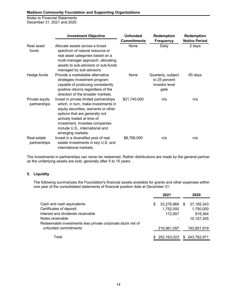Notes to Financial Statements December 31, 2021 and 2020

|                                | <b>Investment Objective</b>                                                                                                                                                                                                                                                     | <b>Unfunded</b>            | <b>Redemption</b>                                             | <b>Redemption</b>              |
|--------------------------------|---------------------------------------------------------------------------------------------------------------------------------------------------------------------------------------------------------------------------------------------------------------------------------|----------------------------|---------------------------------------------------------------|--------------------------------|
| Real asset<br>funds            | Allocate assets across a broad<br>spectrum of natural resource or<br>real asset categories based on a<br>multi-manager approach, allocating<br>assets to sub-advisors or sub-funds<br>managed by sub-advisors.                                                                  | <b>Commitments</b><br>None | <b>Frequency</b><br>Daily                                     | <b>Notice Period</b><br>2 days |
| Hedge funds                    | Provide a marketable alternative<br>strategies investment program<br>capable of producing consistently<br>positive returns regardless of the<br>direction of the broader markets.                                                                                               | None                       | Quarterly, subject<br>to 25 percent<br>investor level<br>gate | 65 days                        |
| Private equity<br>partnerships | Invest in private limited partnerships<br>which, in turn, make investments in<br>equity securities, warrants or other<br>options that are generally not<br>actively traded at time of<br>investment. Investee companies<br>include U.S., international and<br>emerging markets. | \$21,740,000               | n/a                                                           | n/a                            |
| Real estate<br>partnerships    | Invest in a diversified pool of real<br>estate investments in key U.S. and<br>international markets.                                                                                                                                                                            | \$8,788,000                | n/a                                                           | n/a                            |

The investments in partnerships can never be redeemed. Rather distributions are made by the general partner as the underlying assets are sold, generally after 5 to 15 years.

# **5. Liquidity**

The following summarizes the Foundation's financial assets available for grants and other expenses within one year of the consolidated statements of financial position date at December 31:

|                                                            |     | 2021                       |   | 2020         |
|------------------------------------------------------------|-----|----------------------------|---|--------------|
| Cash and cash equivalents                                  | \$  | 33,276,969                 | S | 37, 185, 343 |
| Certificates of deposit                                    |     | 1,752,000                  |   | 1,750,000    |
| Interest and dividends receivable                          |     | 172,957                    |   | 918,364      |
| Notes receivable                                           |     |                            |   | 10,107,345   |
| Redeemable investments less private corporate stock net of |     |                            |   |              |
| unfunded commitments                                       |     | 216,961,097                |   | 193,801,919  |
| Total                                                      | \$. | 252,163,023 \$ 243,762,971 |   |              |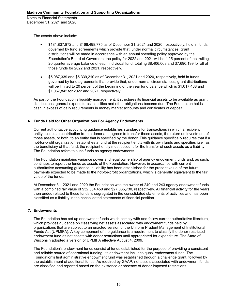The assets above include:

- \$181,837,872 and \$166,498,775 as of December 31, 2021 and 2020, respectively, held in funds governed by fund agreements which provide that, under normal circumstances, grant distributions will be made in accordance with an annual spending policy approved by the Foundation's Board of Governors; the policy for 2022 and 2021 will be 4.25 percent of the trailing 20 quarter average balance of each individual fund; totaling \$8,406,068 and \$7,690,199 for all of those funds for 2022 and 2021, respectively.
- \$5,087,339 and \$5,339,210 as of December 31, 2021 and 2020, respectively, held in funds governed by fund agreements that provide that, under normal circumstances, grant distributions will be limited to 20 percent of the beginning of the year fund balance which is \$1,017,468 and \$1,067,842 for 2022 and 2021, respectively.

As part of the Foundation's liquidity management, it structures its financial assets to be available as grant distributions, general expenditures, liabilities and other obligations become due. The Foundation holds cash in excess of daily requirements in money market accounts and certificates of deposit.

# **6. Funds Held for Other Organizations For Agency Endowments**

Current authoritative accounting guidance establishes standards for transactions in which a recipient entity accepts a contribution from a donor and agrees to transfer those assets, the return on investment of those assets, or both, to an entity that is specified by the donor. This guidance specifically requires that if a not-for-profit organization establishes a fund at the recipient entity with its own funds and specifies itself as the beneficiary of that fund, the recipient entity must account for the transfer of such assets as a liability. The Foundation refers to such funds as agency endowments.

The Foundation maintains variance power and legal ownership of agency endowment funds and, as such, continues to report the funds as assets of the Foundation. However, in accordance with current authoritative accounting guidance, a liability has been established for the present value of the future payments expected to be made to the not-for-profit organizations, which is generally equivalent to the fair value of the funds.

At December 31, 2021 and 2020 the Foundation was the owner of 249 and 243 agency endowment funds with a combined fair value of \$32,584,450 and \$27,365,730, respectively. All financial activity for the years then ended related to these funds is segregated in the consolidated statements of activities and has been classified as a liability in the consolidated statements of financial position.

# **7. Endowments**

The Foundation has set up endowment funds which comply with and follow current authoritative literature, which provides guidance on classifying net assets associated with endowment funds held by organizations that are subject to an enacted version of the Uniform Prudent Management of Institutional Funds Act (UPMIFA). A key component of the guidance is a requirement to classify the donor-restricted endowment fund as net assets with donor restrictions until appropriated for expenditure. The State of Wisconsin adopted a version of UPMIFA effective August 4, 2009.

The Foundation's endowment funds consist of funds established for the purpose of providing a consistent and reliable source of operational funding. Its endowment includes quasi-endowment funds. The Foundation's first administrative endowment fund was established through a challenge grant, followed by the establishment of additional funds. As required by GAAP, net assets associated with endowment funds are classified and reported based on the existence or absence of donor-imposed restrictions.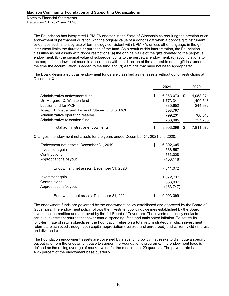> The Foundation has interpreted UPMIFA enacted in the State of Wisconsin as requiring the creation of an endowment of permanent duration with the original value of a donor's gift when a donor's gift instrument evidences such intent by use of terminology consistent with UPMIFA, unless other language in the gift instrument limits the duration or purpose of the fund. As a result of this interpretation, the Foundation classifies as net assets with donor restrictions (a) the original value of the gifts donated to the perpetual endowment, (b) the original value of subsequent gifts to the perpetual endowment, (c) accumulations to the perpetual endowment made in accordance with the direction of the applicable donor gift instrument at the time the accumulation is added to the fund and (d) earnings that have not been appropriated.

The Board designated quasi-endowment funds are classified as net assets without donor restrictions at December 31:

|                                                   | 2021               | 2020      |
|---------------------------------------------------|--------------------|-----------|
| Administrative endowment fund                     | \$<br>6,063,073 \$ | 4,958,274 |
| Dr. Margaret C. Winston fund                      | 1,773,341          | 1,499,513 |
| Lussier fund for MCF                              | 385,652            | 244,982   |
| Joseph T. Steuer and Jamie G. Steuer fund for MCF | 593,797            |           |
| Administrative operating reserve                  | 799,231            | 780,548   |
| Administrative relocation fund                    | 288,005            | 327,755   |
| Total administrative endowments                   | \$<br>9.903.099    | 7,811,072 |

Changes in endowment net assets for the years ended December 31, 2021 and 2020:

| Endowment net assets, December 31, 2019<br>Investment gain | \$<br>6,892,605<br>538,557 |
|------------------------------------------------------------|----------------------------|
| Contributions                                              | 533,028                    |
| Appropriations/payout                                      | (153, 118)                 |
| Endowment net assets, December 31, 2020                    | 7,811,072                  |
| Investment gain                                            | 1,372,737                  |
| Contributions                                              | 853,037                    |
| Appropriations/payout                                      | (133, 747)                 |
| Endowment net assets, December 31, 2021                    | \$<br>9,903,099            |

The endowment funds are governed by the endowment policy established and approved by the Board of Governors. The endowment policy follows the investment policy guidelines established by the Board investment committee and approved by the full Board of Governors. The investment policy seeks to achieve investment returns that cover annual spending, fees and anticipated inflation. To satisfy its long-term rate of return objectives, the Foundation relies on a total return strategy in which investment returns are achieved through both capital appreciation (realized and unrealized) and current yield (interest and dividends).

The Foundation endowment assets are governed by a spending policy that seeks to distribute a specific payout rate from the endowment base to support the Foundation's programs. The endowment base is defined as the rolling average of market value for the most recent 20 quarters. The payout rate is 4.25 percent of the endowment base quarterly.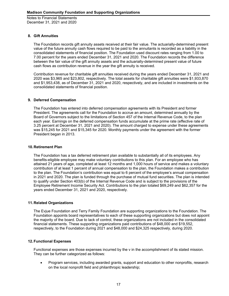# **8. Gift Annuities**

The Foundation records gift annuity assets received at their fair value. The actuarially-determined present value of the future annuity cash flows required to be paid to the annuitants is recorded as a liability in the consolidated statements of financial position. The Foundation used discount rates ranging from 1.00 to 7.00 percent for the years ended December 31, 2021 and 2020. The Foundation records the difference between the fair value of the gift annuity assets and the actuarially-determined present value of future cash flows as contribution revenue in the year the gift annuity is received.

Contribution revenue for charitable gift annuities received during the years ended December 31, 2021 and 2020 was \$3,965 and \$23,802, respectively. The total assets for charitable gift annuities were \$1,933,870 and \$1,953,438, as of December 31, 2021 and 2020, respectively, and are included in investments on the consolidated statements of financial position.

# **9. Deferred Compensation**

The Foundation has entered into deferred compensation agreements with its President and former President. The agreements call for the Foundation to accrue an amount, determined annually by the Board of Governors subject to the limitations of Section 457 of the Internal Revenue Code, to the plan each year. Earnings on the deferred compensation funds accumulate at the prime rate (effective rate of 3.25 percent at December 31, 2021 and 2020). The amount charged to expense under these agreements was \$15,245 for 2021 and \$15,345 for 2020. Monthly payments under the agreement with the former President began in 2013.

# **10.Retirement Plan**

The Foundation has a tax deferred retirement plan available to substantially all of its employees. Any benefits-eligible employee may make voluntary contributions to this plan. For an employee who has attained 21 years of age, completed at least 12 months and 1,000 hours of service and makes a voluntary contribution of at least 1 percent of annual compensation to the plan, the Foundation makes a contribution to the plan. The Foundation's contribution was equal to 6 percent of the employee's annual compensation in 2021 and 2020. The plan is funded through the purchase of mutual fund securities. The plan is intended to qualify under Section 403(b) of the Internal Revenue Code and is subject to the provisions of the Employee Retirement Income Security Act. Contributions to the plan totaled \$69,249 and \$62,357 for the years ended December 31, 2021 and 2020, respectively.

# **11.Related Organizations**

The Evjue Foundation and Terry Family Foundation are supporting organizations to the Foundation. The Foundation appoints board representatives to each of these supporting organizations but does not appoint the majority of the board. Due to lack of control, these organizations are not included in the consolidated financial statements. These supporting organizations paid contributions of \$48,000 and \$19,552, respectively, to the Foundation during 2021 and \$48,000 and \$24,325 respectively, during 2020.

# **12.Functional Expenses**

Functional expenses are those expenses incurred by the v in the accomplishment of its stated mission. They can be further categorized as follows:

 Program services, including awarded grants, support and education to other nonprofits, research on the local nonprofit field and philanthropic leadership;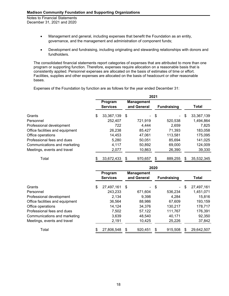- Management and general, including expenses that benefit the Foundation as an entity, governance, and the management and administration of component funds;
- Development and fundraising, including originating and stewarding relationships with donors and fundholders.

The consolidated financial statements report categories of expenses that are attributed to more than one program or supporting function. Therefore, expenses require allocation on a reasonable basis that is consistently applied. Personnel expenses are allocated on the basis of estimates of time or effort. Facilities, supplies and other expenses are allocated on the basis of headcount or other reasonable bases.

Expenses of the Foundation by function are as follows for the year ended December 31:

|                                 | 2021 |                            |      |                                  |    |                    |    |            |  |
|---------------------------------|------|----------------------------|------|----------------------------------|----|--------------------|----|------------|--|
|                                 |      | Program<br><b>Services</b> |      | <b>Management</b><br>and General |    | <b>Fundraising</b> |    | Total      |  |
| Grants                          | \$   | 33,367,139                 | - \$ | $\sim$                           | \$ | $\blacksquare$     | \$ | 33,367,139 |  |
| Personnel                       |      | 252,407                    |      | 721,919                          |    | 520,538            |    | 1,494,864  |  |
| Professional development        |      | 722                        |      | 4,444                            |    | 2,659              |    | 7,825      |  |
| Office facilities and equipment |      | 26,238                     |      | 85.427                           |    | 71,393             |    | 183,058    |  |
| Office operations               |      | 14,453                     |      | 47,061                           |    | 113,581            |    | 175,095    |  |
| Professional fees and dues      |      | 5,280                      |      | 50,051                           |    | 85,694             |    | 141,025    |  |
| Communications and marketing    |      | 4,117                      |      | 50,892                           |    | 69,000             |    | 124,009    |  |
| Meetings, events and travel     |      | 2,077                      |      | 10,863                           |    | 26,390             |    | 39,330     |  |
| Total                           |      | 33,672,433                 | \$   | 970,657                          | \$ | 889,255            | \$ | 35,532,345 |  |

|                                 | 2020 |                            |    |                                  |      |                    |     |            |  |
|---------------------------------|------|----------------------------|----|----------------------------------|------|--------------------|-----|------------|--|
|                                 |      | Program<br><b>Services</b> |    | <b>Management</b><br>and General |      | <b>Fundraising</b> |     | Total      |  |
| Grants                          | \$   | 27,497,161                 | \$ |                                  | - \$ | $\sim$             | \$  | 27,497,161 |  |
| Personnel                       |      | 243,233                    |    | 671,604                          |      | 536,234            |     | 1,451,071  |  |
| Professional development        |      | 2,134                      |    | 9,398                            |      | 4,284              |     | 15,816     |  |
| Office facilities and equipment |      | 36,564                     |    | 88,986                           |      | 67,609             |     | 193,159    |  |
| Office operations               |      | 14,124                     |    | 34,376                           |      | 130,217            |     | 178,717    |  |
| Professional fees and dues      |      | 7,502                      |    | 57,122                           |      | 111,767            |     | 176,391    |  |
| Communications and marketing    |      | 3,639                      |    | 48,540                           |      | 40,171             |     | 92,350     |  |
| Meetings, events and travel     |      | 2,191                      |    | 10,425                           |      | 25,226             |     | 37,842     |  |
| Total                           |      | 27,806,548                 | S  | 920,451                          | \$   | 915,508            | SS. | 29,642,507 |  |